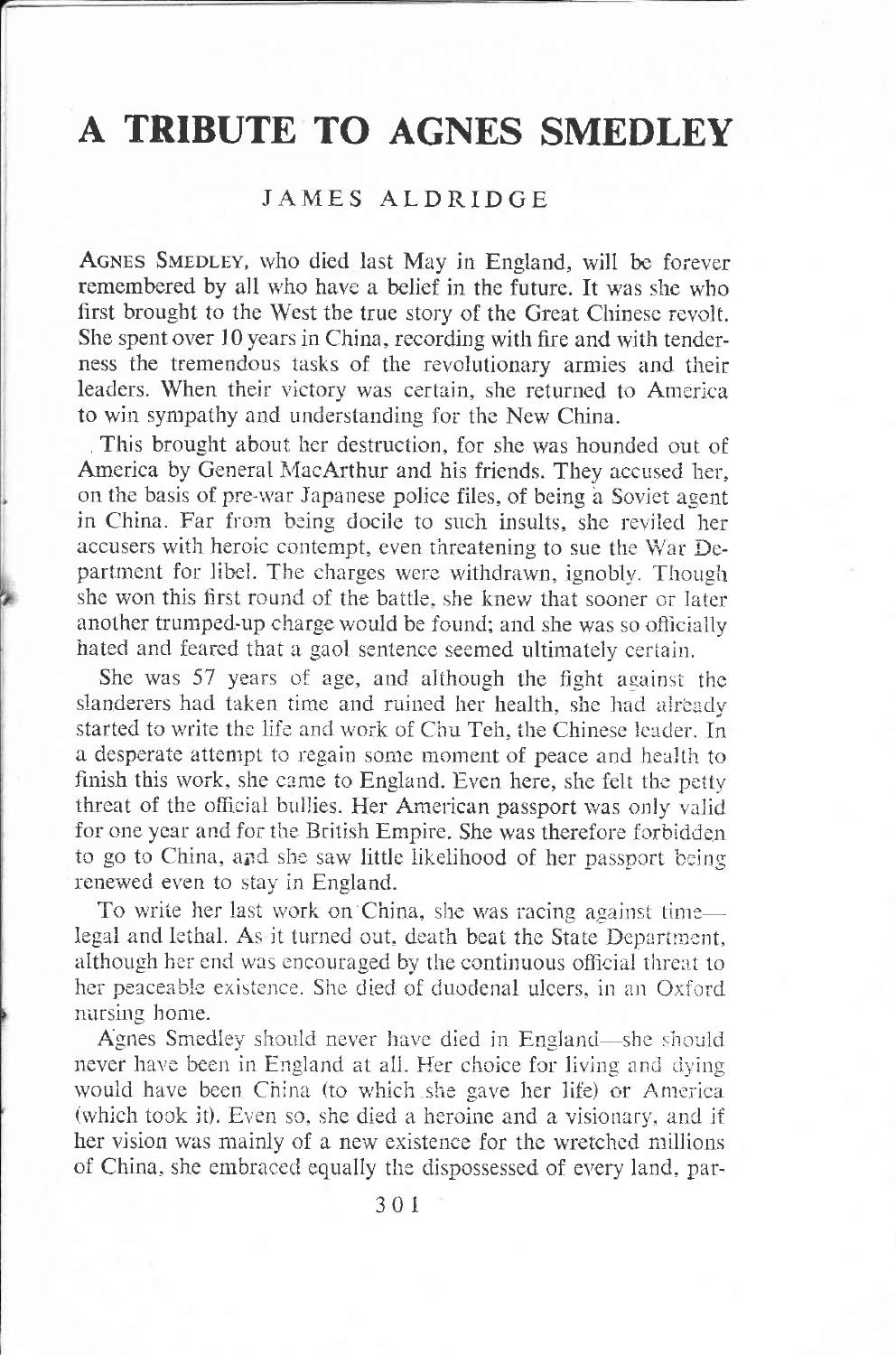## A TRIBUTE TO AGNES SMEDLEY

## **JAMES ALDRIDGE**

AGNES SMEDLEY, who died last May in England, will be forever remembered by all who have a belief in the future. It was she who first brought to the West the true story of the Great Chinese revolt. She spent over 10 years in China, recording with fire and with tenderness the tremendous tasks of the revolutionary armies and their leaders. When their victory was certain, she returned to America to win sympathy and understanding for the New China.

This brought about her destruction, for she was hounded out of America by General MacArthur and his friends. They accused her, on the basis of pre-war Japanese police files, of being a Soviet agent in China. Far from being docile to such insults, she reviled her accusers with heroic contempt, even threatening to sue the War Department for libel. The charges were withdrawn, ignobly. Though she won this first round of the battle, she knew that sooner or later another trumped-up charge would be found; and she was so officially hated and feared that a gaol sentence seemed ultimately certain.

She was 57 years of age, and although the fight against the slanderers had taken time and ruined her health, she had already started to write the life and work of Chu Teh, the Chinese leader. In a desperate attempt to regain some moment of peace and health to finish this work, she came to England. Even here, she felt the petty threat of the official bullies. Her American passport was only valid for one year and for the British Empire. She was therefore forbidden to go to China, and she saw little likelihood of her passport being renewed even to stay in England.

To write her last work on China, she was racing against timelegal and lethal. As it turned out, death beat the State Department. although her end was encouraged by the continuous official threat to her peaceable existence. She died of duodenal ulcers, in an Oxford nursing home.

Agnes Smedley should never have died in England—she should never have been in England at all. Her choice for living and dying would have been China (to which she gave her life) or America (which took it). Even so, she died a heroine and a visionary, and if her vision was mainly of a new existence for the wretched millions of China, she embraced equally the dispossessed of every land, par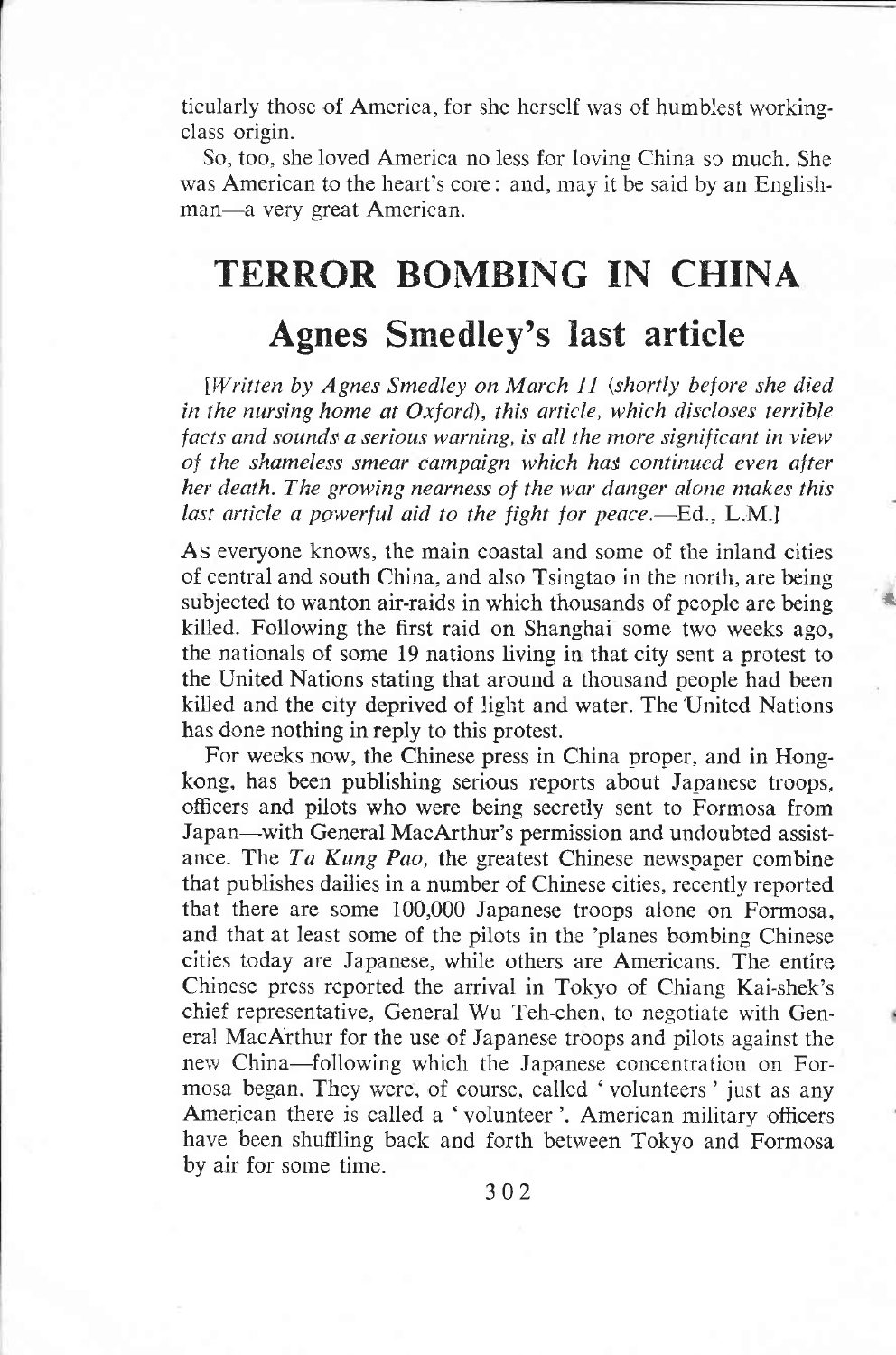ticularly those of America, for she herself was of humblest workingclass origin.

So, too, she loved America no less for loving China so much. She was American to the heart's core: and, may it be said by an Englishman-a very great American.

## TERROR BOMBING IN CHINA Agnes Smedley's last article

[Written by Agnes Smedley on March 11 (shortly before she died in the nursing home at Oxford), this article, which discloses terrible facts and sounds a serious warning, is all the more significant in view of the shameless smear campaign which has continued even after her death. The growing nearness of the war danger alone makes this last article a powerful aid to the fight for peace.—Ed.,  $L.M.$ 

As everyone knows, the main coastal and some of the iniand cities of central and south China, and also Tsingtao in the norih, are being subjected to wanton air-raids in which thousands of people are being killed. Following the first raid on Shanghai some two weeks ago, the nationals of some 19 nations living in that city sent a protest to the United Nations stating that around a thousand neople had been kiiled and the city deprived of liglit and water. The United Nations has done nothing in reply to this protest.

rt

For weeks now, the Chinese press in China proper, and in Hongkong, has been publishing serious reports about Japanese troops, officers and pilots who were being secretly sent to Formosa from Japan-with General MacArthur's permission and undoubted assistance. The Ta Kung Pao, the greatest Chinese newspaper combine that publishes dailies in a number of Chinese cities, recently reported that there are some 100,000 Japanese troops alone on Formosa, and that at least some of the pilots in the 'planes bombing Chinese cities today are Japanese, while others are Americans. The entiro Chinese press reported the arrival in Tokyo of Chiang Kai-shek's chief representative, General Wu Teh-chen. to negotiate with General MacArthur for the use of Japanese troops and pilots against the new China-following which the Japanese concentration on Formosa began. They were, of course, called 'volunteers' just as any American there is called a 'volunteer'. American military officers have been shuffling back and forth between Tokyo and Formosa by air for some time.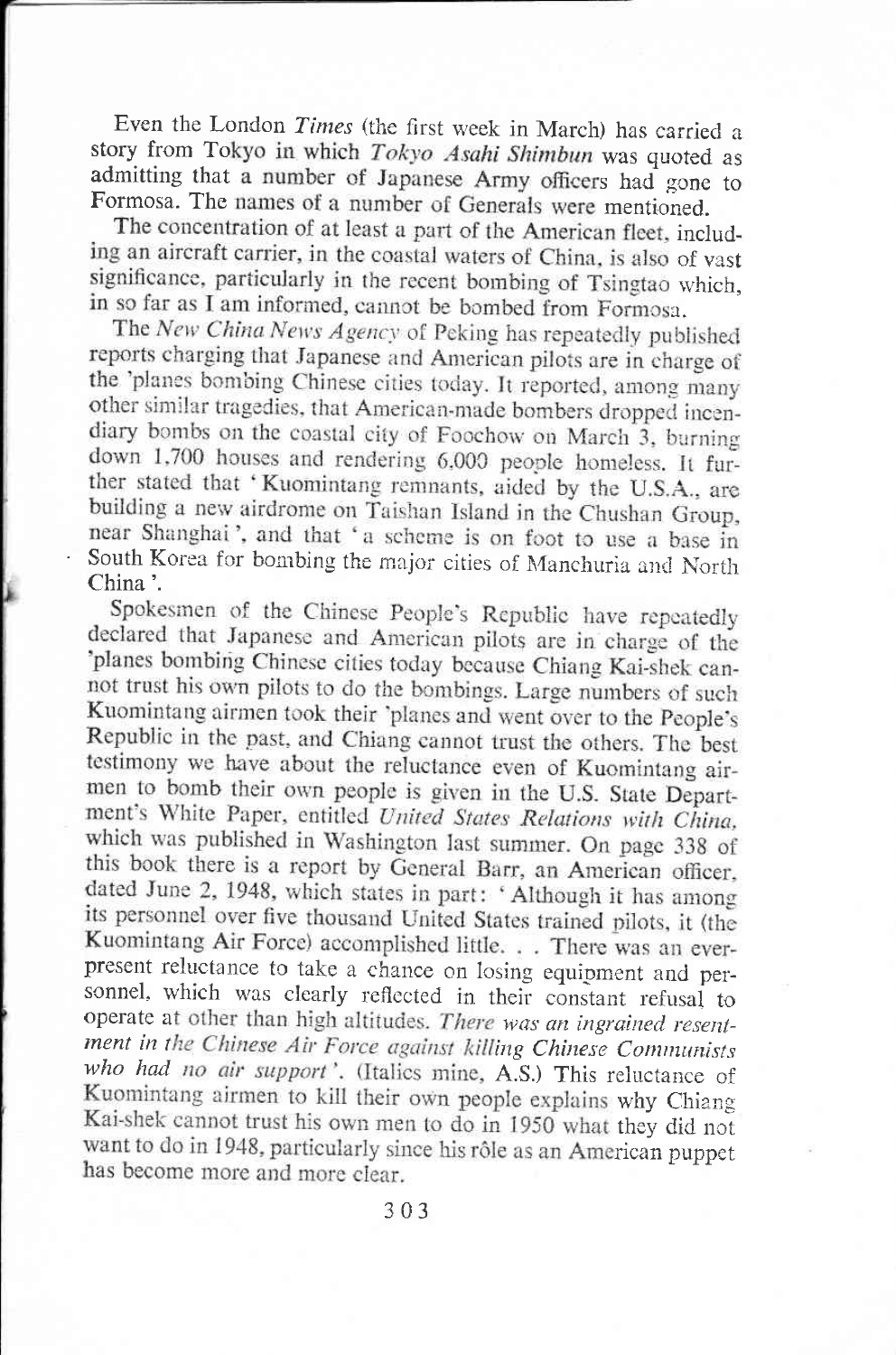Even the London Times (the first week in March) has carried a story from Tokyo in which Tokyo Asahi Shimbun was quoted as admitting that a number of Japanese Army officers had gone to Formosa. The names of a number of Generals were mentioned.

The concentration of at least a part of the American fleet, including an aircraft carrier, in the coastal waters of China, is also of vast significance, particularly in the recent bombing of Tsingtao which, in so far as I am informed, cannot be bombed from Formosa.

The New China News Agency of Peking has repeatedly published reports charging that Japanese and American pilots are in charge of the 'planes bombing Chinese cities today. It reported, among many other similar tragedies, that American-made bombers dropped incendiary bombs on the coastal city of Foochow on March 3, burning down 1,700 houses and rendering 6,000 people homeless. It further stated that 'Kuomintang remnants, aided by the U.S.A., are building a new airdrome on Taishan Island in the Chushan Group, near Shanghai', and that 'a scheme is on foot to use a base in South Korea for bombing the major cities of Manchuria and North China'.

Spokesmen of the Chinese People's Republic have repeatedly declared that Japanese and American pilots are in charge of the 'planes bombing Chinese cities today because Chiang Kai-shek cannot trust his own pilots to do the bombings. Large numbers of such Kuomintang airmen took their 'planes and went over to the People's Republic in the past, and Chiang cannot trust the others. The best testimony we have about the reluctance even of Kuomintang airmen to bomb their own people is given in the U.S. State Department's White Paper, entitled United States Relations with China, which was published in Washington last summer. On page 338 of this book there is a report by General Barr, an American officer, dated June 2, 1948, which states in part: 'Although it has among its personnel over five thousand United States trained pilots, it (the Kuomintang Air Force) accomplished little. . . There was an everpresent reluctance to take a chance on losing equipment and personnel, which was clearly reflected in their constant refusal to operate at other than high altitudes. There was an ingrained resentment in the Chinese Air Force against killing Chinese Communists who had no air support'. (Italics mine, A.S.) This reluctance of Kuomintang airmen to kill their own people explains why Chiang Kai-shek cannot trust his own men to do in 1950 what they did not want to do in 1948, particularly since his rôle as an American puppet has become more and more clear.